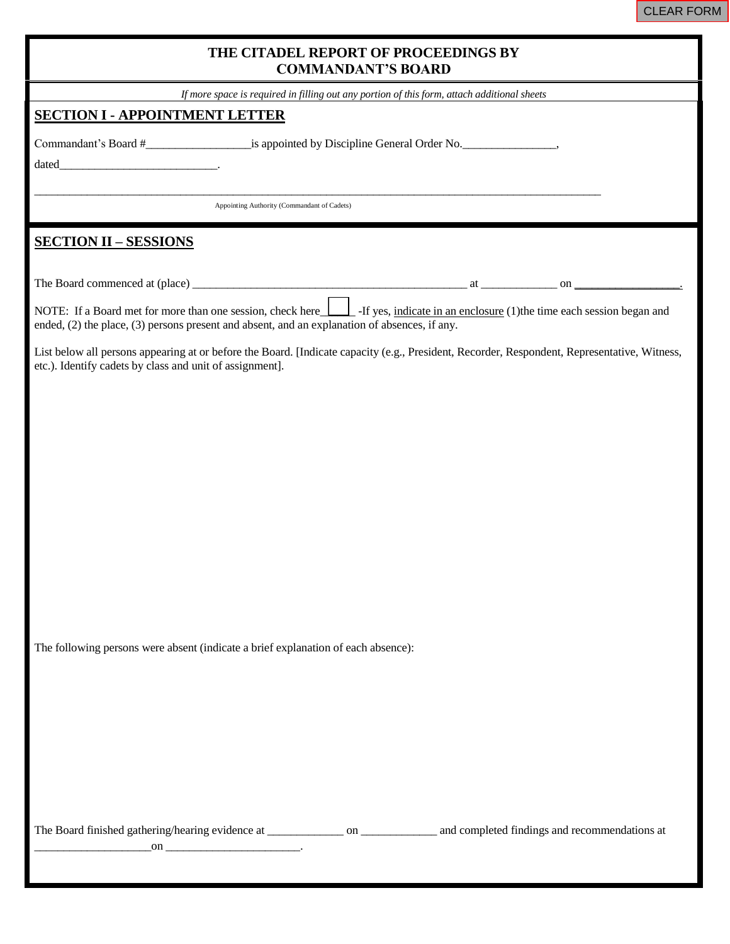| THE CITADEL REPORT OF PROCEEDINGS BY<br><b>COMMANDANT'S BOARD</b>                                                                                                                                                                         |  |  |  |  |  |  |  |
|-------------------------------------------------------------------------------------------------------------------------------------------------------------------------------------------------------------------------------------------|--|--|--|--|--|--|--|
| If more space is required in filling out any portion of this form, attach additional sheets                                                                                                                                               |  |  |  |  |  |  |  |
| <b>SECTION I - APPOINTMENT LETTER</b>                                                                                                                                                                                                     |  |  |  |  |  |  |  |
|                                                                                                                                                                                                                                           |  |  |  |  |  |  |  |
| Appointing Authority (Commandant of Cadets)                                                                                                                                                                                               |  |  |  |  |  |  |  |
| <b>SECTION II - SESSIONS</b>                                                                                                                                                                                                              |  |  |  |  |  |  |  |
|                                                                                                                                                                                                                                           |  |  |  |  |  |  |  |
| NOTE: If a Board met for more than one session, check here <b>I</b> If yes, indicate in an enclosure (1) the time each session began and<br>ended, (2) the place, (3) persons present and absent, and an explanation of absences, if any. |  |  |  |  |  |  |  |
| List below all persons appearing at or before the Board. [Indicate capacity (e.g., President, Recorder, Respondent, Representative, Witness,<br>etc.). Identify cadets by class and unit of assignment].                                  |  |  |  |  |  |  |  |
|                                                                                                                                                                                                                                           |  |  |  |  |  |  |  |
|                                                                                                                                                                                                                                           |  |  |  |  |  |  |  |
|                                                                                                                                                                                                                                           |  |  |  |  |  |  |  |
|                                                                                                                                                                                                                                           |  |  |  |  |  |  |  |
|                                                                                                                                                                                                                                           |  |  |  |  |  |  |  |
|                                                                                                                                                                                                                                           |  |  |  |  |  |  |  |
|                                                                                                                                                                                                                                           |  |  |  |  |  |  |  |
|                                                                                                                                                                                                                                           |  |  |  |  |  |  |  |
|                                                                                                                                                                                                                                           |  |  |  |  |  |  |  |
|                                                                                                                                                                                                                                           |  |  |  |  |  |  |  |
| The following persons were absent (indicate a brief explanation of each absence):                                                                                                                                                         |  |  |  |  |  |  |  |
|                                                                                                                                                                                                                                           |  |  |  |  |  |  |  |
|                                                                                                                                                                                                                                           |  |  |  |  |  |  |  |
|                                                                                                                                                                                                                                           |  |  |  |  |  |  |  |
|                                                                                                                                                                                                                                           |  |  |  |  |  |  |  |
|                                                                                                                                                                                                                                           |  |  |  |  |  |  |  |
|                                                                                                                                                                                                                                           |  |  |  |  |  |  |  |
|                                                                                                                                                                                                                                           |  |  |  |  |  |  |  |
|                                                                                                                                                                                                                                           |  |  |  |  |  |  |  |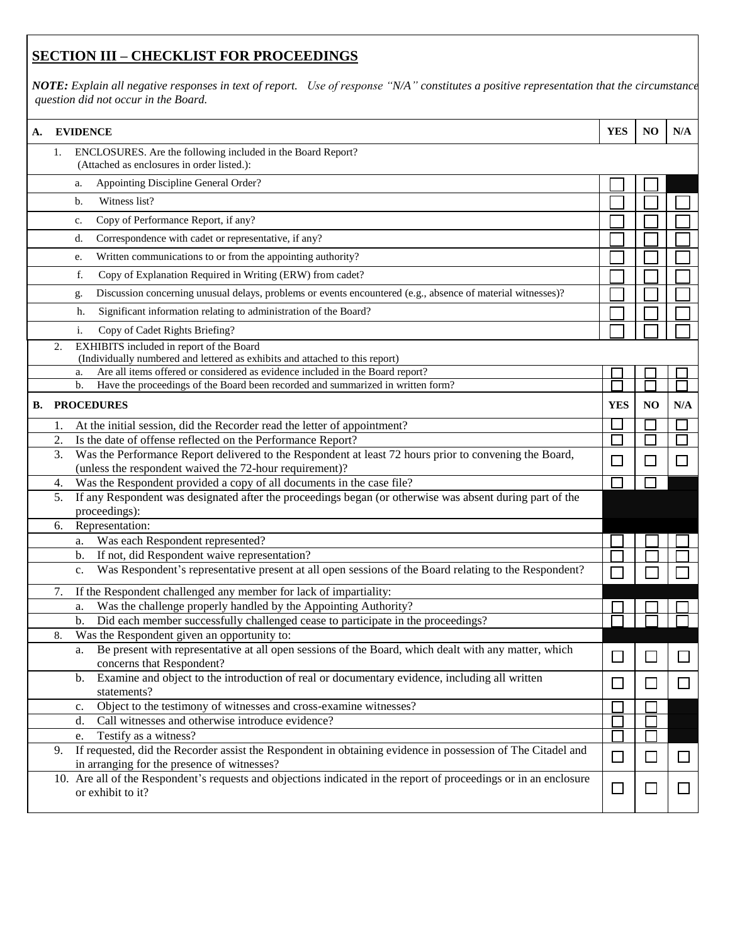## **SECTION III – CHECKLIST FOR PROCEEDINGS**

*NOTE: Explain all negative responses in text of report. Use of response "N/A" constitutes a positive representation that the circumstances in question did not occur in the Board.*

| А. |    | <b>EVIDENCE</b>                                                                                                                        | <b>YES</b>   | NO           | N/A |
|----|----|----------------------------------------------------------------------------------------------------------------------------------------|--------------|--------------|-----|
|    | 1. | ENCLOSURES. Are the following included in the Board Report?<br>(Attached as enclosures in order listed.):                              |              |              |     |
|    |    | Appointing Discipline General Order?<br>a.                                                                                             |              |              |     |
|    |    | Witness list?<br>b.                                                                                                                    |              |              |     |
|    |    | Copy of Performance Report, if any?<br>c.                                                                                              |              |              |     |
|    |    | Correspondence with cadet or representative, if any?<br>d.                                                                             |              |              |     |
|    |    | Written communications to or from the appointing authority?<br>e.                                                                      |              |              |     |
|    |    | Copy of Explanation Required in Writing (ERW) from cadet?<br>f.                                                                        |              |              |     |
|    |    | Discussion concerning unusual delays, problems or events encountered (e.g., absence of material witnesses)?<br>g.                      |              |              |     |
|    |    | Significant information relating to administration of the Board?<br>h.                                                                 |              |              |     |
|    |    | i.<br>Copy of Cadet Rights Briefing?                                                                                                   |              |              |     |
|    | 2. | EXHIBITS included in report of the Board                                                                                               |              |              |     |
|    |    | (Individually numbered and lettered as exhibits and attached to this report)                                                           |              |              |     |
|    |    | Are all items offered or considered as evidence included in the Board report?<br>a.                                                    |              |              |     |
|    |    | Have the proceedings of the Board been recorded and summarized in written form?<br>b.                                                  |              |              |     |
| В. |    | <b>PROCEDURES</b>                                                                                                                      | <b>YES</b>   | NO           | N/A |
|    | 1. | At the initial session, did the Recorder read the letter of appointment?                                                               |              |              |     |
|    | 2. | Is the date of offense reflected on the Performance Report?                                                                            |              |              |     |
|    | 3. | Was the Performance Report delivered to the Respondent at least 72 hours prior to convening the Board,                                 | $\mathbf{L}$ |              |     |
|    | 4. | (unless the respondent waived the 72-hour requirement)?<br>Was the Respondent provided a copy of all documents in the case file?       |              |              |     |
|    | 5. | If any Respondent was designated after the proceedings began (or otherwise was absent during part of the                               |              |              |     |
|    |    | proceedings):                                                                                                                          |              |              |     |
|    | 6. | Representation:                                                                                                                        |              |              |     |
|    |    | Was each Respondent represented?<br>a.                                                                                                 |              |              |     |
|    |    | If not, did Respondent waive representation?<br>b.                                                                                     |              |              |     |
|    |    | Was Respondent's representative present at all open sessions of the Board relating to the Respondent?<br>c.                            |              |              |     |
|    | 7. | If the Respondent challenged any member for lack of impartiality:                                                                      |              |              |     |
|    |    | Was the challenge properly handled by the Appointing Authority?<br>a.                                                                  |              |              |     |
|    |    | Did each member successfully challenged cease to participate in the proceedings?<br>b.                                                 |              |              |     |
|    | 8. | Was the Respondent given an opportunity to:                                                                                            |              |              |     |
|    |    | Be present with representative at all open sessions of the Board, which dealt with any matter, which<br>a.                             |              |              |     |
|    |    | concerns that Respondent?                                                                                                              |              |              |     |
|    |    | Examine and object to the introduction of real or documentary evidence, including all written<br>b.<br>statements?                     | $\Box$       | $\mathsf{L}$ |     |
|    |    | Object to the testimony of witnesses and cross-examine witnesses?<br>c.                                                                |              |              |     |
|    |    | Call witnesses and otherwise introduce evidence?<br>d.                                                                                 |              |              |     |
|    |    | Testify as a witness?<br>e.                                                                                                            |              |              |     |
|    | 9. | If requested, did the Recorder assist the Respondent in obtaining evidence in possession of The Citadel and                            |              |              |     |
|    |    | in arranging for the presence of witnesses?                                                                                            | □            | $\mathsf{L}$ |     |
|    |    | 10. Are all of the Respondent's requests and objections indicated in the report of proceedings or in an enclosure<br>or exhibit to it? | $\Box$       |              |     |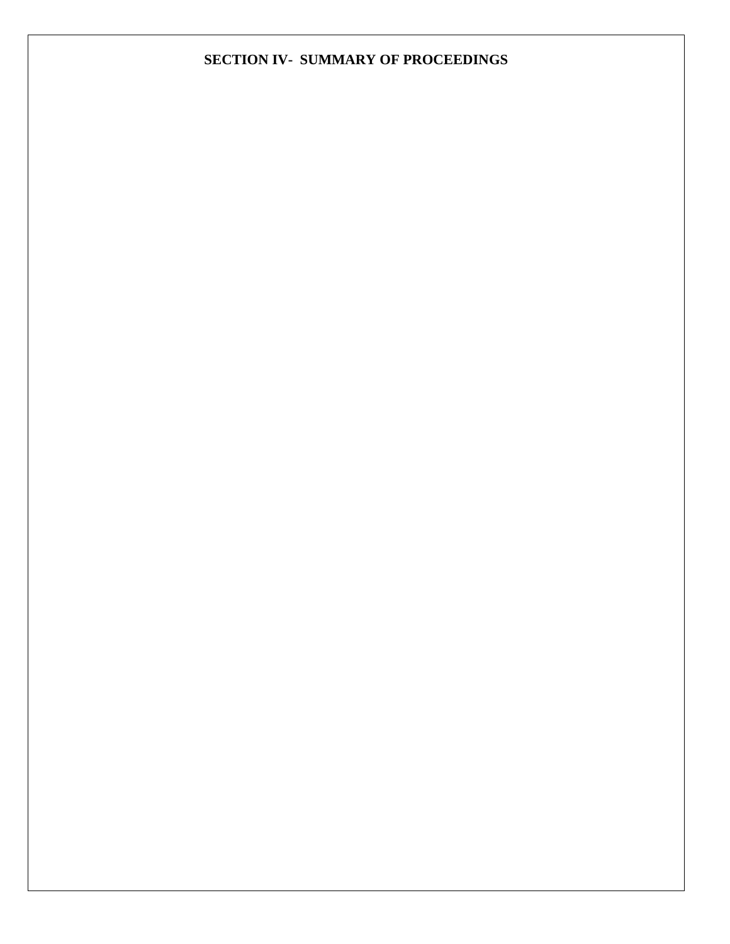## **SECTION IV- SUMMARY OF PROCEEDINGS**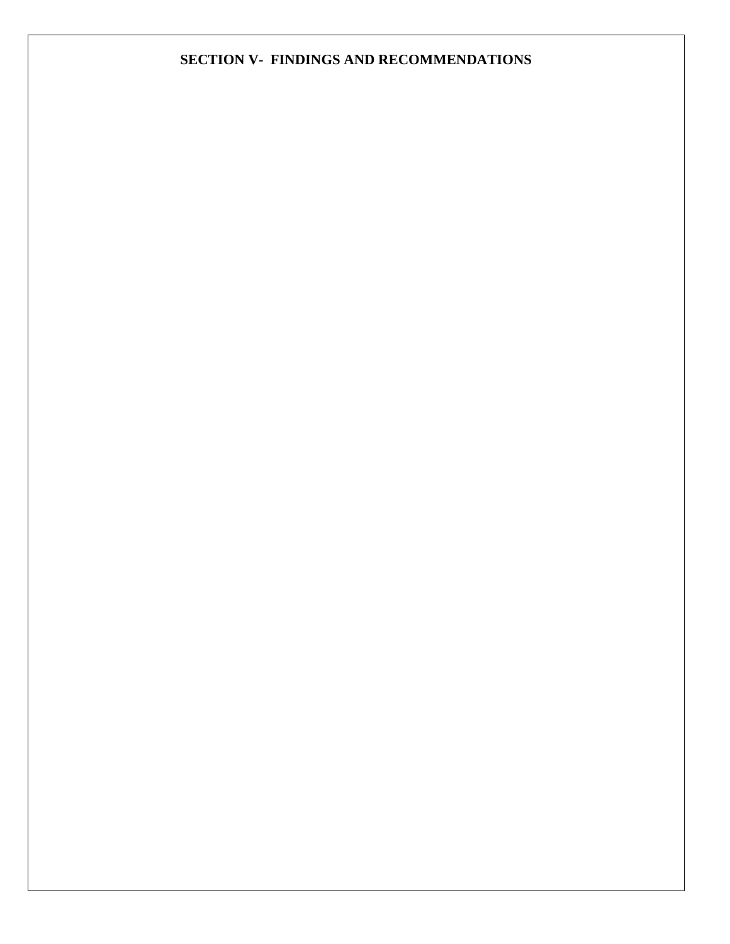## **SECTION V- FINDINGS AND RECOMMENDATIONS**